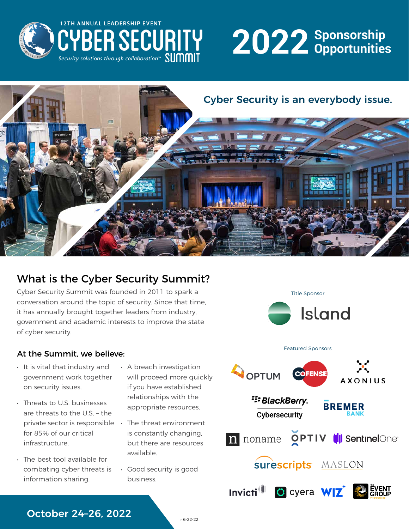

# **Sponsorship 2022 Opportunities**



## What is the Cyber Security Summit?

Cyber Security Summit was founded in 2011 to spark a conversation around the topic of security. Since that time, it has annually brought together leaders from industry, government and academic interests to improve the state of cyber security.

# Title Sponsor **Island**

#### At the Summit, we believe:

- It is vital that industry and government work together on security issues.
- Threats to U.S. businesses are threats to the U.S. – the private sector is responsible for 85% of our critical infrastructure.
- The best tool available for combating cyber threats is information sharing.
- A breach investigation will proceed more quickly if you have established relationships with the appropriate resources.
	- The threat environment is constantly changing, but there are resources available.
- Good security is good business.



#### October 24–26, 2022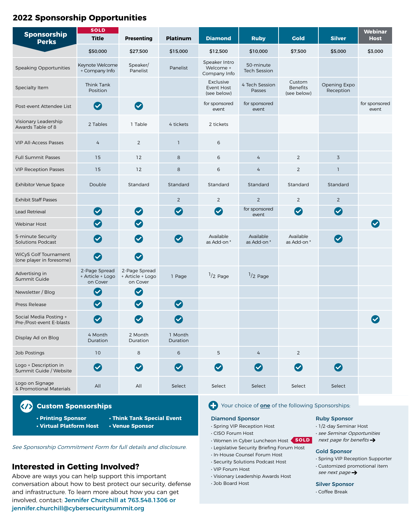#### **2022 Sponsorship Opportunities**

| Sponsorship<br><b>Perks</b>                              | <b>SOLD</b><br><b>Title</b>                                   | <b>Presenting</b>                             | <b>Platinum</b>      | <b>Diamond</b>                             | <b>Ruby</b>                         | <b>Gold</b>                              | <b>Silver</b>             | <b>Webinar</b><br><b>Host</b> |
|----------------------------------------------------------|---------------------------------------------------------------|-----------------------------------------------|----------------------|--------------------------------------------|-------------------------------------|------------------------------------------|---------------------------|-------------------------------|
|                                                          | \$50,000                                                      | \$27,500                                      | \$15,000             | \$12,500                                   | \$10,000                            | \$7,500                                  | \$5,000                   | \$3,000                       |
| <b>Speaking Opportunities</b>                            | Keynote Welcome<br>+ Company Info                             | Speaker/<br>Panelist                          | Panelist             | Speaker Intro<br>Welcome +<br>Company Info | 50-minute<br><b>Tech Session</b>    |                                          |                           |                               |
| Specialty Item                                           | Think Tank<br>Position                                        |                                               |                      | Exclusive<br>Event Host<br>(see below)     | 4 Tech Session<br>Passes            | Custom<br><b>Benefits</b><br>(see below) | Opening Expo<br>Reception |                               |
| Post-event Attendee List                                 | $\blacktriangledown$                                          | Ø                                             |                      | for sponsored<br>event                     | for sponsored<br>event              |                                          |                           | for sponsored<br>event        |
| Visionary Leadership<br>Awards Table of 8                | 2 Tables                                                      | 1 Table                                       | 4 tickets            | 2 tickets                                  |                                     |                                          |                           |                               |
| <b>VIP All-Access Passes</b>                             | 4                                                             | $\overline{2}$                                | $\mathbf{1}$         | 6                                          |                                     |                                          |                           |                               |
| <b>Full Summit Passes</b>                                | 15                                                            | 12                                            | 8                    | 6                                          | 4                                   | $\overline{2}$                           | $\overline{3}$            |                               |
| <b>VIP Reception Passes</b>                              | 15                                                            | 12                                            | 8                    | 6                                          | $\overline{4}$                      | $\overline{2}$                           | 1                         |                               |
| <b>Exhibitor Venue Space</b>                             | Double                                                        | Standard                                      | Standard             | Standard                                   | Standard                            | Standard                                 | Standard                  |                               |
| <b>Exhibit Staff Passes</b>                              |                                                               |                                               | $\overline{2}$       | $\overline{2}$                             | 2                                   | $\overline{2}$                           | $\overline{2}$            |                               |
| Lead Retrieval                                           | $\bullet$                                                     | $\bullet$                                     | $\bullet$            | $\bullet$                                  | for sponsored<br>event              | $\bullet$                                | $\bullet$                 |                               |
| <b>Webinar Host</b>                                      | $\bullet$                                                     | $\bullet$                                     |                      |                                            |                                     |                                          |                           |                               |
| 5-minute Security<br><b>Solutions Podcast</b>            | $\boldsymbol{\mathcal{Q}}$                                    | $\left( \bigtriangledown \right)$             | $\blacktriangledown$ | Available<br>as Add-on *                   | Available<br>as Add-on <sup>*</sup> | Available<br>as Add-on <sup>*</sup>      | $\bullet$                 |                               |
| <b>WiCyS Golf Tournament</b><br>(one player in foresome) | $\bullet$                                                     | $\bullet$                                     |                      |                                            |                                     |                                          |                           |                               |
| Advertising in<br>Summit Guide                           | 2-Page Spread<br>+ Article + Logo<br>on Cover                 | 2-Page Spread<br>+ Article + Logo<br>on Cover | 1 Page               | $1/2$ Page                                 | $1/2$ Page                          |                                          |                           |                               |
| Newsletter / Blog                                        | $\blacktriangledown$                                          | $\blacktriangledown$                          |                      |                                            |                                     |                                          |                           |                               |
| Press Release                                            | $\boldsymbol{\nabla}$                                         | $\blacktriangledown$                          | $\blacktriangledown$ |                                            |                                     |                                          |                           |                               |
| Social Media Posting +<br>Pre-/Post-event E-blasts       | $\blacktriangledown$                                          | $\blacktriangledown$                          | $\blacktriangledown$ |                                            |                                     |                                          |                           |                               |
| Display Ad on Blog                                       | 4 Month<br>Duration                                           | 2 Month<br>Duration                           | 1 Month<br>Duration  |                                            |                                     |                                          |                           |                               |
| <b>Job Postings</b>                                      | 10                                                            | 8                                             | 6                    | 5                                          | 4                                   | $\overline{2}$                           |                           |                               |
| Logo + Description in<br>Summit Guide / Website          | $\bullet$                                                     | $\bullet$                                     | $\bullet$            | $\bullet$                                  | $\bullet$                           | $\bullet$                                | $\bullet$                 |                               |
| Logo on Signage<br>& Promotional Materials               | All                                                           | All                                           | Select               | Select                                     | Select                              | Select                                   | Select                    |                               |
| <b>(7)</b> Custom Sponsorships                           | Your choice of <b>one</b> of the following Sponsorships:<br>Œ |                                               |                      |                                            |                                     |                                          |                           |                               |

**• Printing Sponsor**

**• Virtual Platform Host**

**• Think Tank Special Event**

See Sponsorship Commitment Form for full details and disclosure.

#### **Interested in Getting Involved?**

Above are ways you can help support this important conversation about how to best protect our security, defense and infrastructure. To learn more about how you can get involved, contact: Jennifer Churchill at 763.548.1306 or jennifer.churchill@cybersecuritysummit.org

#### Your choice of <u>one</u> of the following Sponsorships:

#### Diamond Sponsor

- **Venue Sponsor 1/2-day Seminar Host** 1/2-day Seminar Host
	- CISO Forum Host
	- Women in Cyber Luncheon Host **SOLD**
	- Legislative Security Briefing Forum Host
	- In-House Counsel Forum Host
	- Security Solutions Podcast Host
	- VIP Forum Host
	- Visionary Leadership Awards Host
	- Job Board Host

#### Ruby Sponsor

- see Seminar Opportunities
- next page for benefits  $\rightarrow$

#### Gold Sponsor

- Spring VIP Reception Supporter
- Customized promotional item
- see next page  $\rightarrow$
- Coffee Break Silver Sponsor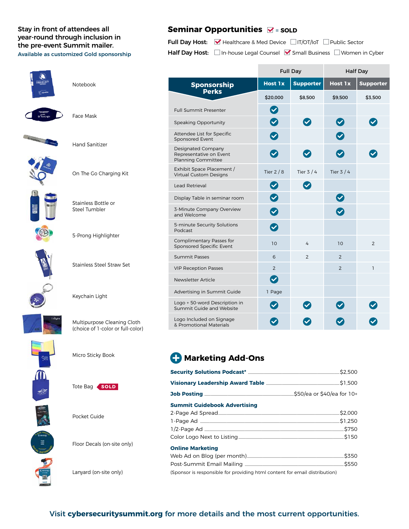#### year-round through inclusion in the pre-event Summit mailer. Available as customized Gold sponsorship

#### Stay in front of attendees all **Seminar Opportunities** = **SOLD**

Full Day Host: V Healthcare & Med Device IT/OT/IoT Public Sector Half Day Host: In-house Legal Counsel Small Business Women in Cyber

|    |                                                                  |                                                                     | <b>Full Day</b>                   |                  | <b>Half Day</b>      |                  |  |
|----|------------------------------------------------------------------|---------------------------------------------------------------------|-----------------------------------|------------------|----------------------|------------------|--|
|    | Notebook                                                         | Sponsorship                                                         | <b>Host 1x</b>                    | <b>Supporter</b> | <b>Host 1x</b>       | <b>Supporter</b> |  |
|    |                                                                  | <b>Perks</b>                                                        | \$20,000                          | \$8,500          | \$9,500              | \$3,500          |  |
|    |                                                                  | <b>Full Summit Presenter</b>                                        | $\bullet$                         |                  |                      |                  |  |
|    | Face Mask                                                        | Speaking Opportunity                                                | $\bullet$                         | $\bullet$        | $\bullet$            |                  |  |
|    |                                                                  | Attendee List for Specific<br>Sponsored Event                       | $\bullet$                         |                  | $\blacktriangledown$ |                  |  |
|    | <b>Hand Sanitizer</b>                                            | Designated Company<br>Representative on Event<br>Planning Committee | $\boldsymbol{\nabla}$             | $\checkmark$     | $\blacktriangledown$ |                  |  |
|    | On The Go Charging Kit                                           | Exhibit Space Placement /<br>Virtual Custom Designs                 | Tier $2/8$                        | Tier $3/4$       | Tier $3/4$           |                  |  |
|    |                                                                  | <b>Lead Retrieval</b>                                               | $\bullet$                         | $\bullet$        |                      |                  |  |
|    | Stainless Bottle or<br>Steel Tumbler                             | Display Table in seminar room                                       | $\bullet$                         |                  | $\bullet$            |                  |  |
|    |                                                                  | 3-Minute Company Overview<br>and Welcome                            | $\bullet$                         |                  | $\bullet$            |                  |  |
|    |                                                                  | 5-minute Security Solutions<br>Podcast                              | $\bullet$                         |                  |                      |                  |  |
|    | 5-Prong Highlighter                                              | Complimentary Passes for<br>Sponsored Specific Event                | 10                                | $\overline{4}$   | 10                   | $\overline{2}$   |  |
|    |                                                                  | <b>Summit Passes</b>                                                | 6                                 | $\overline{2}$   | $\overline{2}$       |                  |  |
|    | <b>Stainless Steel Straw Set</b>                                 | <b>VIP Reception Passes</b>                                         | $\overline{2}$                    |                  | $\overline{2}$       | $\mathbf{1}$     |  |
|    |                                                                  | Newsletter Article                                                  | $\bullet$                         |                  |                      |                  |  |
|    | Keychain Light                                                   | Advertising in Summit Guide                                         | 1 Page                            |                  |                      |                  |  |
|    |                                                                  | Logo + 50-word Description in<br>Summit Guide and Website           | $\left( \bigtriangledown \right)$ | $\checkmark$     | $\blacktriangledown$ |                  |  |
|    | Multipurpose Cleaning Cloth<br>(choice of 1-color or full-color) | Logo Included on Signage<br>& Promotional Materials                 | $\bullet$                         | $\checkmark$     | $\blacktriangledown$ |                  |  |
|    | Micro Sticky Book                                                | <b>Marketing Add-Ons</b>                                            |                                   |                  |                      |                  |  |
| ſD |                                                                  |                                                                     |                                   |                  |                      |                  |  |
|    | Tote Bag SOLD                                                    |                                                                     |                                   |                  |                      |                  |  |

Pocket Guide

Floor Decals (on-site only)

Lanyard (on-site only)

| <b>Summit Guidebook Advertising</b>                                        |  |
|----------------------------------------------------------------------------|--|
|                                                                            |  |
|                                                                            |  |
|                                                                            |  |
|                                                                            |  |
| <b>Online Marketing</b>                                                    |  |
|                                                                            |  |
|                                                                            |  |
| (Sponsor is responsible for providing html content for email distribution) |  |